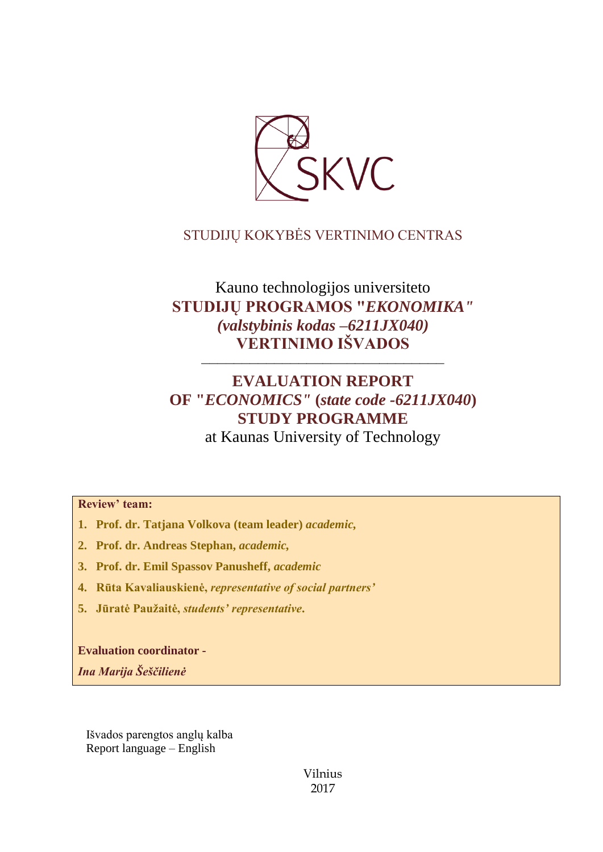

# STUDIJŲ KOKYBĖS VERTINIMO CENTRAS

# Kauno technologijos universiteto **STUDIJŲ PROGRAMOS "***EKONOMIKA" (valstybinis kodas –6211JX040)* **VERTINIMO IŠVADOS**

––––––––––––––––––––––––––––––

# **EVALUATION REPORT OF "***ECONOMICS"* **(***state code -6211JX040***) STUDY PROGRAMME**

at Kaunas University of Technology

# **Review' team:**

- **1. Prof. dr. Tatjana Volkova (team leader)** *academic,*
- **2. Prof. dr. Andreas Stephan,** *academic,*
- **3. Prof. dr. Emil Spassov Panusheff,** *academic*
- **4. Rūta Kavaliauskienė,** *representative of social partners'*
- **5. Jūratė Paužaitė,** *students' representative***.**

### **Evaluation coordinator -**

*Ina Marija Šeščilienė* 

Išvados parengtos anglų kalba Report language – English

> Vilnius 2017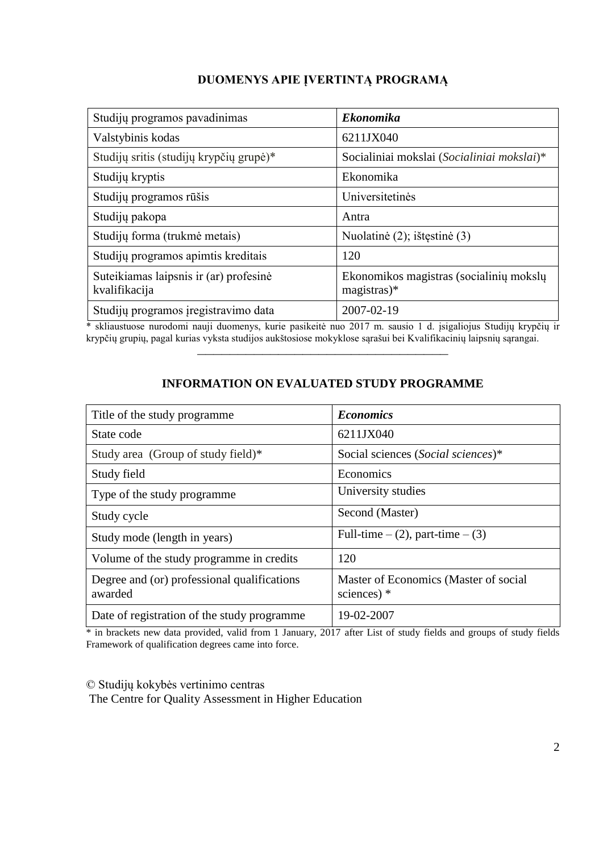# **DUOMENYS APIE ĮVERTINTĄ PROGRAMĄ**

| Studijų programos pavadinimas                           | <b>Ekonomika</b>                                         |
|---------------------------------------------------------|----------------------------------------------------------|
| Valstybinis kodas                                       | 6211JX040                                                |
| Studijų sritis (studijų krypčių grupė)*                 | Socialiniai mokslai (Socialiniai mokslai)*               |
| Studijų kryptis                                         | Ekonomika                                                |
| Studijų programos rūšis                                 | Universitetinės                                          |
| Studijų pakopa                                          | Antra                                                    |
| Studijų forma (trukmė metais)                           | Nuolatinė (2); ištęstinė (3)                             |
| Studijų programos apimtis kreditais                     | 120                                                      |
| Suteikiamas laipsnis ir (ar) profesinė<br>kvalifikacija | Ekonomikos magistras (socialinių mokslų<br>$magistras)*$ |
| Studijų programos įregistravimo data                    | 2007-02-19                                               |

\* skliaustuose nurodomi nauji duomenys, kurie pasikeitė nuo 2017 m. sausio 1 d. įsigaliojus Studijų krypčių ir krypčių grupių, pagal kurias vyksta studijos aukštosiose mokyklose sąrašui bei Kvalifikacinių laipsnių sąrangai.

–––––––––––––––––––––––––––––––

| Title of the study programme                           | <b>Economics</b>                                       |
|--------------------------------------------------------|--------------------------------------------------------|
| State code                                             | 6211JX040                                              |
| Study area (Group of study field)*                     | Social sciences (Social sciences)*                     |
| Study field                                            | Economics                                              |
| Type of the study programme                            | University studies                                     |
| Study cycle                                            | Second (Master)                                        |
| Study mode (length in years)                           | Full-time $-$ (2), part-time $-$ (3)                   |
| Volume of the study programme in credits               | 120                                                    |
| Degree and (or) professional qualifications<br>awarded | Master of Economics (Master of social<br>sciences) $*$ |
| Date of registration of the study programme            | 19-02-2007                                             |

# **INFORMATION ON EVALUATED STUDY PROGRAMME**

\* in brackets new data provided, valid from 1 January, 2017 after List of study fields and groups of study fields Framework of qualification degrees came into force.

© Studijų kokybės vertinimo centras The Centre for Quality Assessment in Higher Education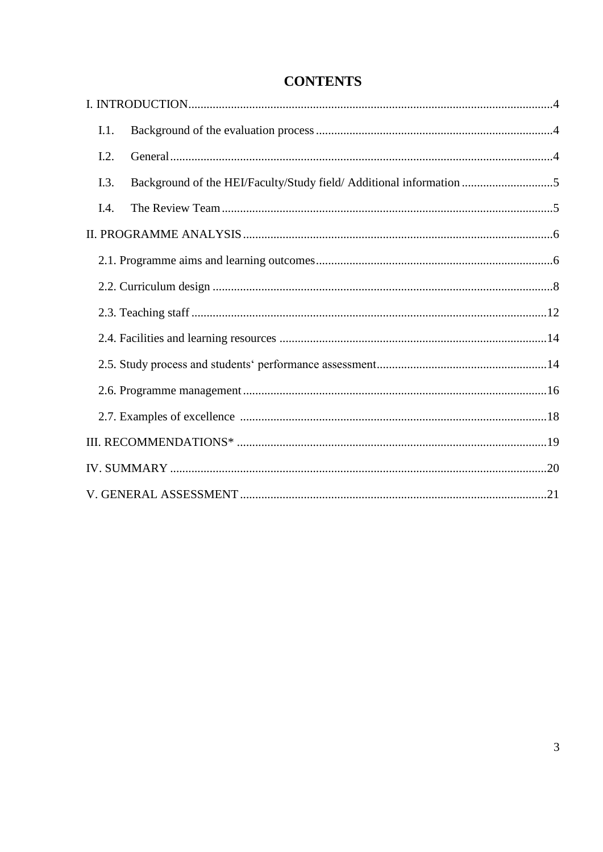| I.1.                                                                        |  |  |
|-----------------------------------------------------------------------------|--|--|
| I.2.                                                                        |  |  |
| Background of the HEI/Faculty/Study field/ Additional information 5<br>I.3. |  |  |
| I.4.                                                                        |  |  |
|                                                                             |  |  |
|                                                                             |  |  |
|                                                                             |  |  |
|                                                                             |  |  |
|                                                                             |  |  |
|                                                                             |  |  |
|                                                                             |  |  |
|                                                                             |  |  |
|                                                                             |  |  |
|                                                                             |  |  |
|                                                                             |  |  |

# **CONTENTS**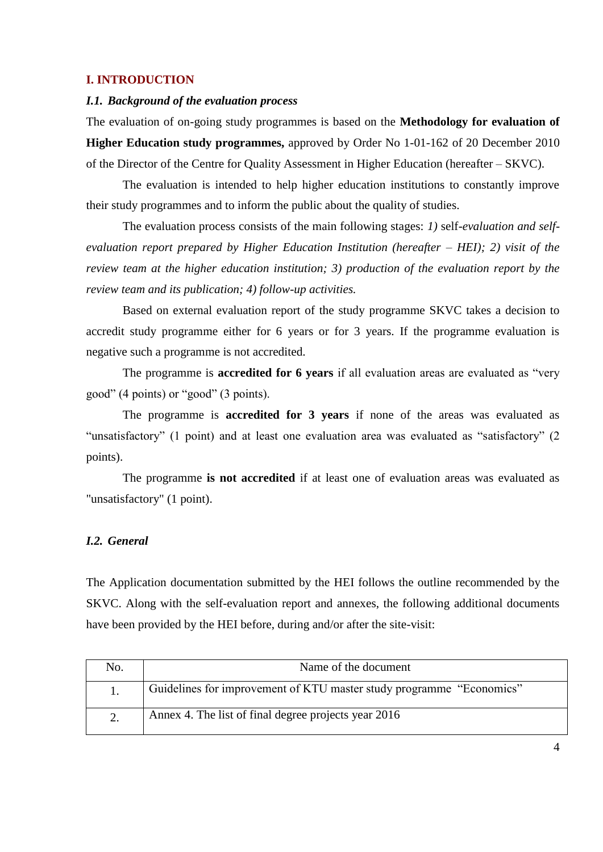#### <span id="page-3-0"></span>**I. INTRODUCTION**

#### <span id="page-3-1"></span>*I.1. Background of the evaluation process*

The evaluation of on-going study programmes is based on the **Methodology for evaluation of Higher Education study programmes,** approved by Order No 1-01-162 of 20 December 2010 of the Director of the Centre for Quality Assessment in Higher Education (hereafter – SKVC).

The evaluation is intended to help higher education institutions to constantly improve their study programmes and to inform the public about the quality of studies.

The evaluation process consists of the main following stages: *1)* self*-evaluation and selfevaluation report prepared by Higher Education Institution (hereafter – HEI); 2) visit of the review team at the higher education institution; 3) production of the evaluation report by the review team and its publication; 4) follow-up activities.* 

Based on external evaluation report of the study programme SKVC takes a decision to accredit study programme either for 6 years or for 3 years. If the programme evaluation is negative such a programme is not accredited.

The programme is **accredited for 6 years** if all evaluation areas are evaluated as "very good" (4 points) or "good" (3 points).

The programme is **accredited for 3 years** if none of the areas was evaluated as "unsatisfactory" (1 point) and at least one evaluation area was evaluated as "satisfactory" (2 points).

The programme **is not accredited** if at least one of evaluation areas was evaluated as "unsatisfactory" (1 point).

### <span id="page-3-2"></span>*I.2. General*

The Application documentation submitted by the HEI follows the outline recommended by the SKVC. Along with the self-evaluation report and annexes, the following additional documents have been provided by the HEI before, during and/or after the site-visit:

| No. | Name of the document                                                 |
|-----|----------------------------------------------------------------------|
|     | Guidelines for improvement of KTU master study programme "Economics" |
|     | Annex 4. The list of final degree projects year 2016                 |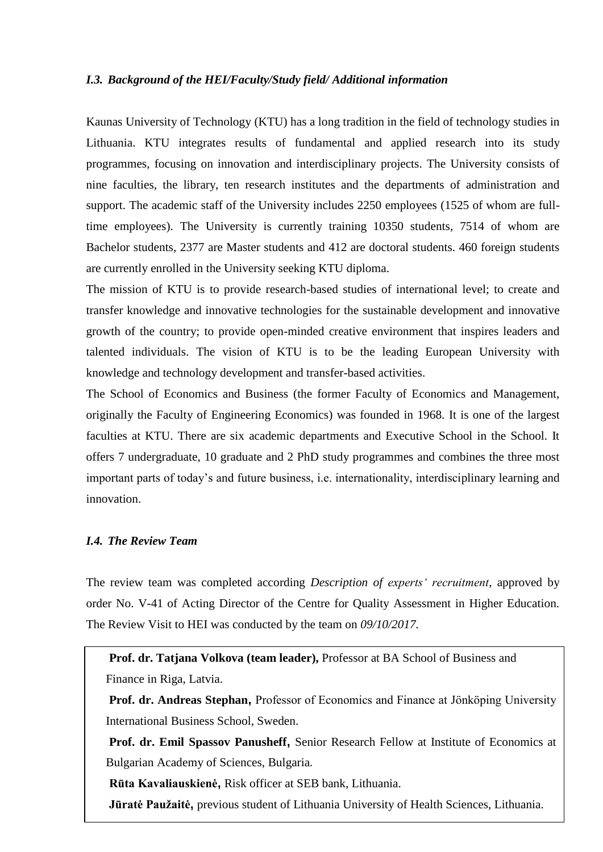#### <span id="page-4-0"></span>*I.3. Background of the HEI/Faculty/Study field/ Additional information*

Kaunas University of Technology (KTU) has a long tradition in the field of technology studies in Lithuania. KTU integrates results of fundamental and applied research into its study programmes, focusing on innovation and interdisciplinary projects. The University consists of nine faculties, the library, ten research institutes and the departments of administration and support. The academic staff of the University includes 2250 employees (1525 of whom are fulltime employees). The University is currently training 10350 students, 7514 of whom are Bachelor students, 2377 are Master students and 412 are doctoral students. 460 foreign students are currently enrolled in the University seeking KTU diploma.

The mission of KTU is to provide research-based studies of international level; to create and transfer knowledge and innovative technologies for the sustainable development and innovative growth of the country; to provide open-minded creative environment that inspires leaders and talented individuals. The vision of KTU is to be the leading European University with knowledge and technology development and transfer-based activities.

The School of Economics and Business (the former Faculty of Economics and Management, originally the Faculty of Engineering Economics) was founded in 1968. It is one of the largest faculties at KTU. There are six academic departments and Executive School in the School. It offers 7 undergraduate, 10 graduate and 2 PhD study programmes and combines the three most important parts of today's and future business, i.e. internationality, interdisciplinary learning and innovation.

## <span id="page-4-1"></span>*I.4. The Review Team*

The review team was completed according *Description of experts' recruitment*, approved by order No. V-41 of Acting Director of the Centre for Quality Assessment in Higher Education. The Review Visit to HEI was conducted by the team on *09/10/2017.*

**Prof. dr. Tatjana Volkova (team leader),** Professor at BA School of Business and Finance in Riga, Latvia.

**Prof. dr. Andreas Stephan,** Professor of Economics and Finance at Jönköping University International Business School, Sweden.

5 **Prof. dr. Emil Spassov Panusheff,** Senior Research Fellow at Institute of Economics at Bulgarian Academy of Sciences, Bulgaria*.*

**Rūta Kavaliauskienė,** Risk officer at SEB bank, Lithuania.

**Jūratė Paužaitė,** previous student of Lithuania University of Health Sciences, Lithuania.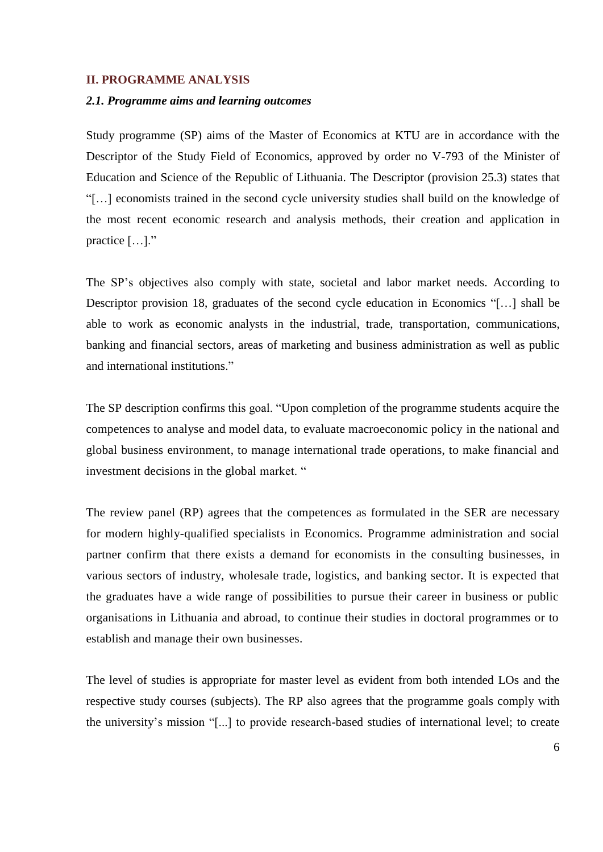#### <span id="page-5-0"></span>**II. PROGRAMME ANALYSIS**

#### <span id="page-5-1"></span>*2.1. Programme aims and learning outcomes*

Study programme (SP) aims of the Master of Economics at KTU are in accordance with the Descriptor of the Study Field of Economics, approved by order no V-793 of the Minister of Education and Science of the Republic of Lithuania. The Descriptor (provision 25.3) states that "[…] economists trained in the second cycle university studies shall build on the knowledge of the most recent economic research and analysis methods, their creation and application in practice […]."

The SP's objectives also comply with state, societal and labor market needs. According to Descriptor provision 18, graduates of the second cycle education in Economics "[…] shall be able to work as economic analysts in the industrial, trade, transportation, communications, banking and financial sectors, areas of marketing and business administration as well as public and international institutions."

The SP description confirms this goal. "Upon completion of the programme students acquire the competences to analyse and model data, to evaluate macroeconomic policy in the national and global business environment, to manage international trade operations, to make financial and investment decisions in the global market. "

The review panel (RP) agrees that the competences as formulated in the SER are necessary for modern highly-qualified specialists in Economics. Programme administration and social partner confirm that there exists a demand for economists in the consulting businesses, in various sectors of industry, wholesale trade, logistics, and banking sector. It is expected that the graduates have a wide range of possibilities to pursue their career in business or public organisations in Lithuania and abroad, to continue their studies in doctoral programmes or to establish and manage their own businesses.

The level of studies is appropriate for master level as evident from both intended LOs and the respective study courses (subjects). The RP also agrees that the programme goals comply with the university's mission "[...] to provide research-based studies of international level; to create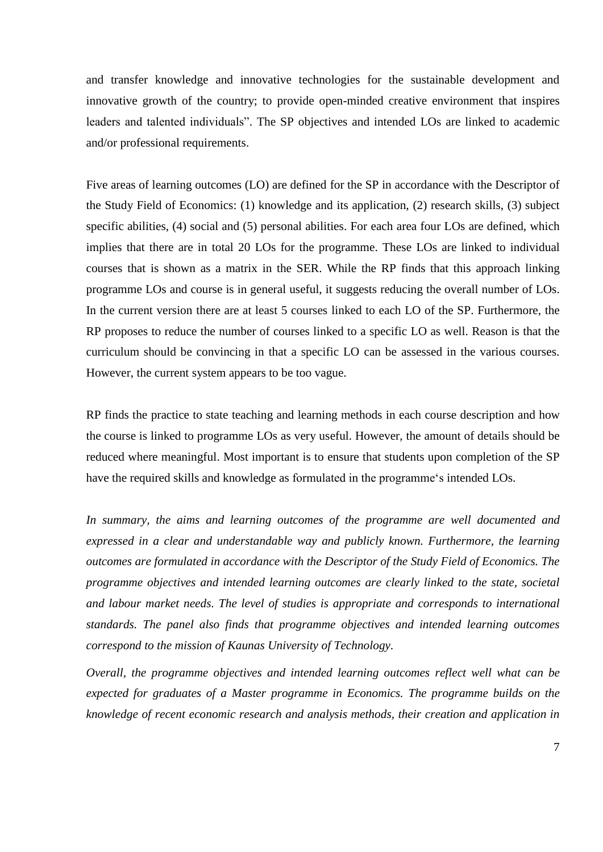and transfer knowledge and innovative technologies for the sustainable development and innovative growth of the country; to provide open-minded creative environment that inspires leaders and talented individuals". The SP objectives and intended LOs are linked to academic and/or professional requirements.

Five areas of learning outcomes (LO) are defined for the SP in accordance with the Descriptor of the Study Field of Economics: (1) knowledge and its application, (2) research skills, (3) subject specific abilities, (4) social and (5) personal abilities. For each area four LOs are defined, which implies that there are in total 20 LOs for the programme. These LOs are linked to individual courses that is shown as a matrix in the SER. While the RP finds that this approach linking programme LOs and course is in general useful, it suggests reducing the overall number of LOs. In the current version there are at least 5 courses linked to each LO of the SP. Furthermore, the RP proposes to reduce the number of courses linked to a specific LO as well. Reason is that the curriculum should be convincing in that a specific LO can be assessed in the various courses. However, the current system appears to be too vague.

RP finds the practice to state teaching and learning methods in each course description and how the course is linked to programme LOs as very useful. However, the amount of details should be reduced where meaningful. Most important is to ensure that students upon completion of the SP have the required skills and knowledge as formulated in the programme's intended LOs.

*In summary, the aims and learning outcomes of the programme are well documented and expressed in a clear and understandable way and publicly known. Furthermore, the learning outcomes are formulated in accordance with the Descriptor of the Study Field of Economics. The programme objectives and intended learning outcomes are clearly linked to the state, societal and labour market needs. The level of studies is appropriate and corresponds to international standards. The panel also finds that programme objectives and intended learning outcomes correspond to the mission of Kaunas University of Technology.* 

*Overall, the programme objectives and intended learning outcomes reflect well what can be expected for graduates of a Master programme in Economics. The programme builds on the knowledge of recent economic research and analysis methods, their creation and application in*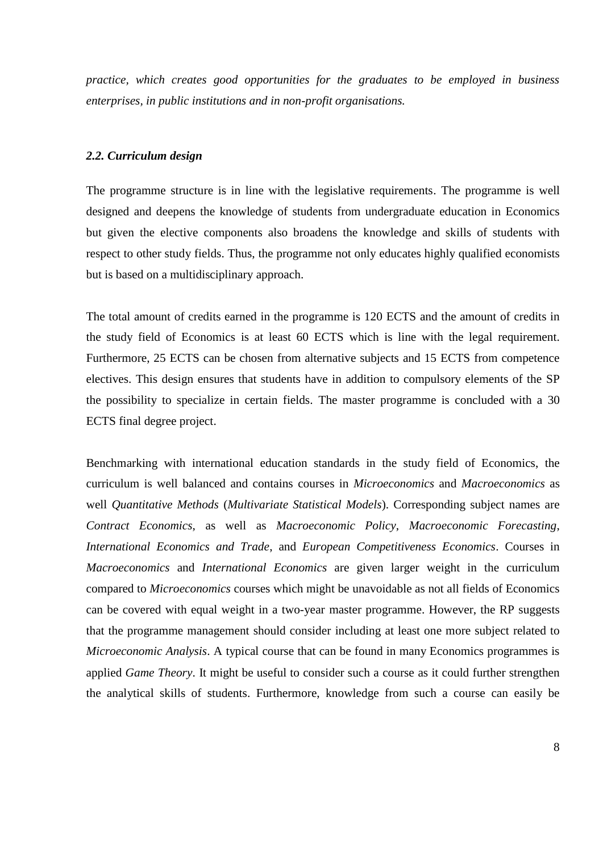*practice, which creates good opportunities for the graduates to be employed in business enterprises, in public institutions and in non-profit organisations.* 

#### <span id="page-7-0"></span>*2.2. Curriculum design*

The programme structure is in line with the legislative requirements. The programme is well designed and deepens the knowledge of students from undergraduate education in Economics but given the elective components also broadens the knowledge and skills of students with respect to other study fields. Thus, the programme not only educates highly qualified economists but is based on a multidisciplinary approach.

The total amount of credits earned in the programme is 120 ECTS and the amount of credits in the study field of Economics is at least 60 ECTS which is line with the legal requirement. Furthermore, 25 ECTS can be chosen from alternative subjects and 15 ECTS from competence electives. This design ensures that students have in addition to compulsory elements of the SP the possibility to specialize in certain fields. The master programme is concluded with a 30 ECTS final degree project.

Benchmarking with international education standards in the study field of Economics, the curriculum is well balanced and contains courses in *Microeconomics* and *Macroeconomics* as well *Quantitative Methods* (*Multivariate Statistical Models*). Corresponding subject names are *Contract Economics*, as well as *Macroeconomic Policy*, *Macroeconomic Forecasting*, *International Economics and Trade*, and *European Competitiveness Economics*. Courses in *Macroeconomics* and *International Economics* are given larger weight in the curriculum compared to *Microeconomics* courses which might be unavoidable as not all fields of Economics can be covered with equal weight in a two-year master programme. However, the RP suggests that the programme management should consider including at least one more subject related to *Microeconomic Analysis*. A typical course that can be found in many Economics programmes is applied *Game Theory*. It might be useful to consider such a course as it could further strengthen the analytical skills of students. Furthermore, knowledge from such a course can easily be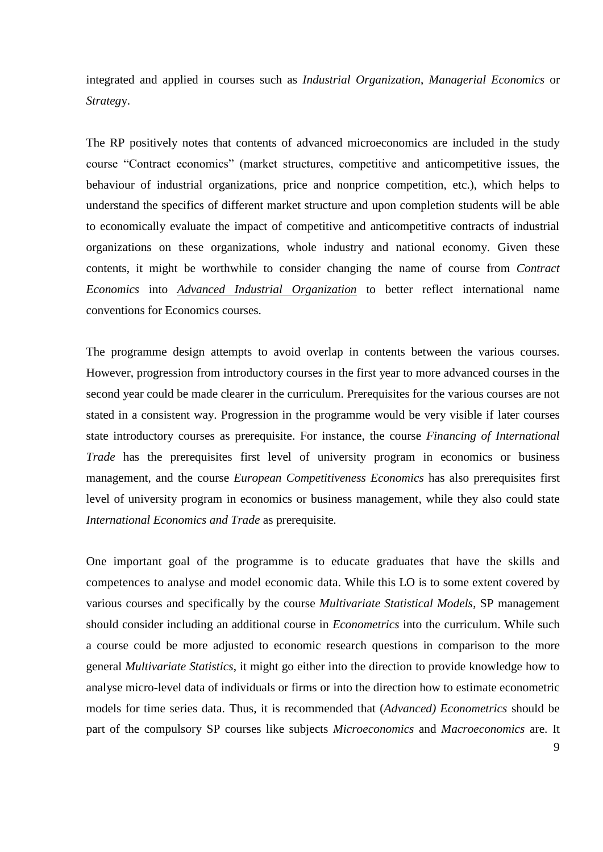integrated and applied in courses such as *Industrial Organization*, *Managerial Economics* or *Strateg*y.

The RP positively notes that contents of advanced microeconomics are included in the study course "Contract economics" (market structures, competitive and anticompetitive issues, the behaviour of industrial organizations, price and nonprice competition, etc.), which helps to understand the specifics of different market structure and upon completion students will be able to economically evaluate the impact of competitive and anticompetitive contracts of industrial organizations on these organizations, whole industry and national economy. Given these contents, it might be worthwhile to consider changing the name of course from *Contract Economics* into *Advanced Industrial Organization* to better reflect international name conventions for Economics courses.

The programme design attempts to avoid overlap in contents between the various courses. However, progression from introductory courses in the first year to more advanced courses in the second year could be made clearer in the curriculum. Prerequisites for the various courses are not stated in a consistent way. Progression in the programme would be very visible if later courses state introductory courses as prerequisite. For instance, the course *Financing of International Trade* has the prerequisites first level of university program in economics or business management, and the course *European Competitiveness Economics* has also prerequisites first level of university program in economics or business management, while they also could state *International Economics and Trade* as prerequisite*.*

One important goal of the programme is to educate graduates that have the skills and competences to analyse and model economic data. While this LO is to some extent covered by various courses and specifically by the course *Multivariate Statistical Models*, SP management should consider including an additional course in *Econometrics* into the curriculum. While such a course could be more adjusted to economic research questions in comparison to the more general *Multivariate Statistics*, it might go either into the direction to provide knowledge how to analyse micro-level data of individuals or firms or into the direction how to estimate econometric models for time series data. Thus, it is recommended that (*Advanced) Econometrics* should be part of the compulsory SP courses like subjects *Microeconomics* and *Macroeconomics* are. It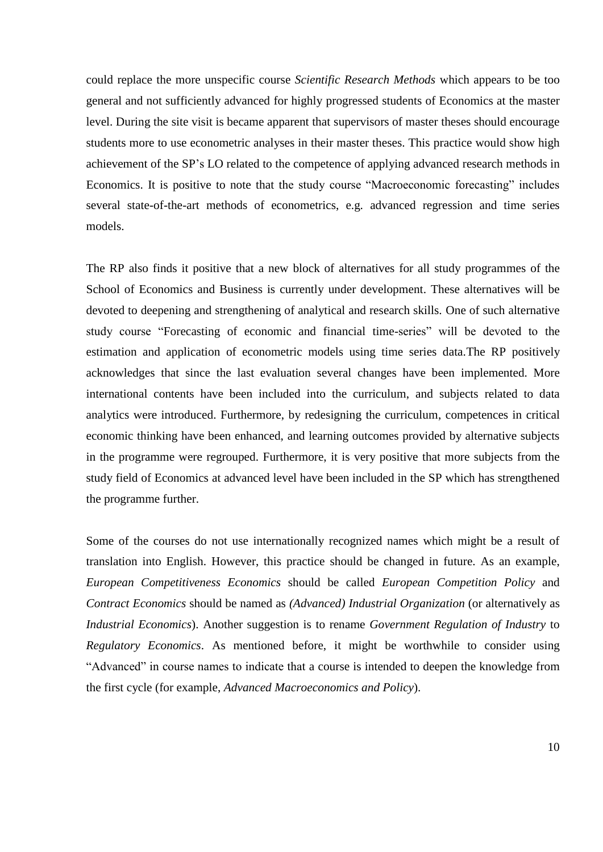could replace the more unspecific course *Scientific Research Methods* which appears to be too general and not sufficiently advanced for highly progressed students of Economics at the master level. During the site visit is became apparent that supervisors of master theses should encourage students more to use econometric analyses in their master theses. This practice would show high achievement of the SP's LO related to the competence of applying advanced research methods in Economics. It is positive to note that the study course "Macroeconomic forecasting" includes several state-of-the-art methods of econometrics, e.g. advanced regression and time series models.

The RP also finds it positive that a new block of alternatives for all study programmes of the School of Economics and Business is currently under development. These alternatives will be devoted to deepening and strengthening of analytical and research skills. One of such alternative study course "Forecasting of economic and financial time-series" will be devoted to the estimation and application of econometric models using time series data.The RP positively acknowledges that since the last evaluation several changes have been implemented. More international contents have been included into the curriculum, and subjects related to data analytics were introduced. Furthermore, by redesigning the curriculum, competences in critical economic thinking have been enhanced, and learning outcomes provided by alternative subjects in the programme were regrouped. Furthermore, it is very positive that more subjects from the study field of Economics at advanced level have been included in the SP which has strengthened the programme further.

Some of the courses do not use internationally recognized names which might be a result of translation into English. However, this practice should be changed in future. As an example, *European Competitiveness Economics* should be called *European Competition Policy* and *Contract Economics* should be named as *(Advanced) Industrial Organization* (or alternatively as *Industrial Economics*). Another suggestion is to rename *Government Regulation of Industry* to *Regulatory Economics*. As mentioned before, it might be worthwhile to consider using "Advanced" in course names to indicate that a course is intended to deepen the knowledge from the first cycle (for example, *Advanced Macroeconomics and Policy*).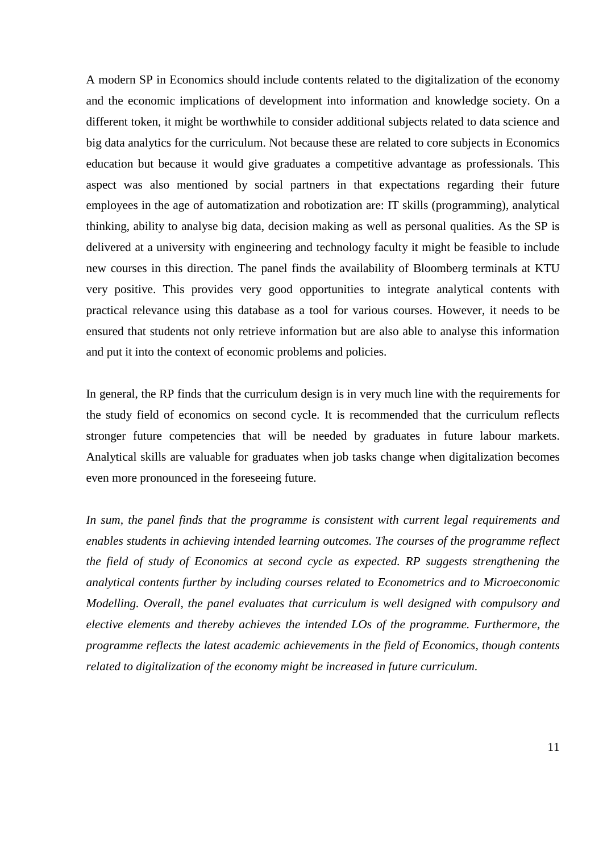A modern SP in Economics should include contents related to the digitalization of the economy and the economic implications of development into information and knowledge society. On a different token, it might be worthwhile to consider additional subjects related to data science and big data analytics for the curriculum. Not because these are related to core subjects in Economics education but because it would give graduates a competitive advantage as professionals. This aspect was also mentioned by social partners in that expectations regarding their future employees in the age of automatization and robotization are: IT skills (programming), analytical thinking, ability to analyse big data, decision making as well as personal qualities. As the SP is delivered at a university with engineering and technology faculty it might be feasible to include new courses in this direction. The panel finds the availability of Bloomberg terminals at KTU very positive. This provides very good opportunities to integrate analytical contents with practical relevance using this database as a tool for various courses. However, it needs to be ensured that students not only retrieve information but are also able to analyse this information and put it into the context of economic problems and policies.

In general, the RP finds that the curriculum design is in very much line with the requirements for the study field of economics on second cycle. It is recommended that the curriculum reflects stronger future competencies that will be needed by graduates in future labour markets. Analytical skills are valuable for graduates when job tasks change when digitalization becomes even more pronounced in the foreseeing future.

*In sum, the panel finds that the programme is consistent with current legal requirements and enables students in achieving intended learning outcomes. The courses of the programme reflect the field of study of Economics at second cycle as expected. RP suggests strengthening the analytical contents further by including courses related to Econometrics and to Microeconomic Modelling. Overall, the panel evaluates that curriculum is well designed with compulsory and elective elements and thereby achieves the intended LOs of the programme. Furthermore, the programme reflects the latest academic achievements in the field of Economics, though contents related to digitalization of the economy might be increased in future curriculum.*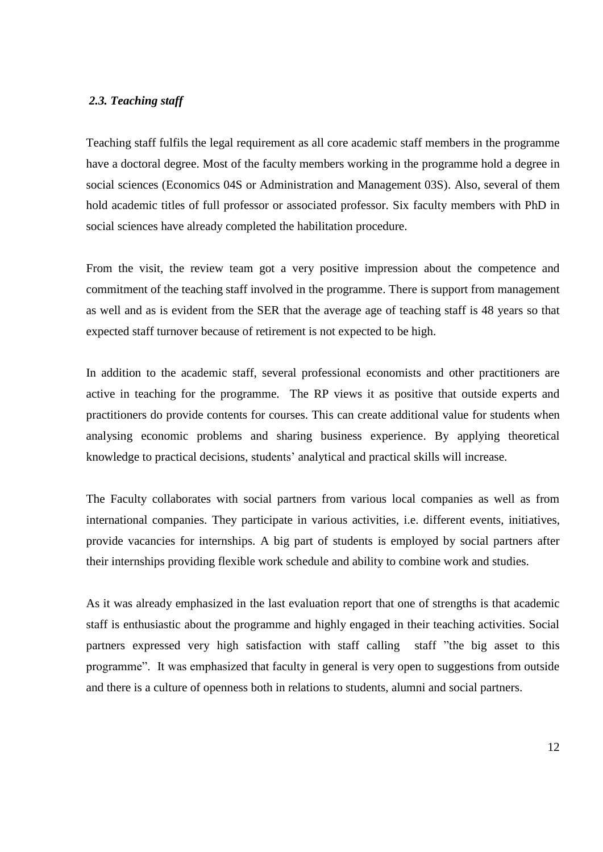### <span id="page-11-0"></span>*2.3. Teaching staff*

Teaching staff fulfils the legal requirement as all core academic staff members in the programme have a doctoral degree. Most of the faculty members working in the programme hold a degree in social sciences (Economics 04S or Administration and Management 03S). Also, several of them hold academic titles of full professor or associated professor. Six faculty members with PhD in social sciences have already completed the habilitation procedure.

From the visit, the review team got a very positive impression about the competence and commitment of the teaching staff involved in the programme. There is support from management as well and as is evident from the SER that the average age of teaching staff is 48 years so that expected staff turnover because of retirement is not expected to be high.

In addition to the academic staff, several professional economists and other practitioners are active in teaching for the programme. The RP views it as positive that outside experts and practitioners do provide contents for courses. This can create additional value for students when analysing economic problems and sharing business experience. By applying theoretical knowledge to practical decisions, students' analytical and practical skills will increase.

The Faculty collaborates with social partners from various local companies as well as from international companies. They participate in various activities, i.e. different events, initiatives, provide vacancies for internships. A big part of students is employed by social partners after their internships providing flexible work schedule and ability to combine work and studies.

As it was already emphasized in the last evaluation report that one of strengths is that academic staff is enthusiastic about the programme and highly engaged in their teaching activities. Social partners expressed very high satisfaction with staff calling staff "the big asset to this programme". It was emphasized that faculty in general is very open to suggestions from outside and there is a culture of openness both in relations to students, alumni and social partners.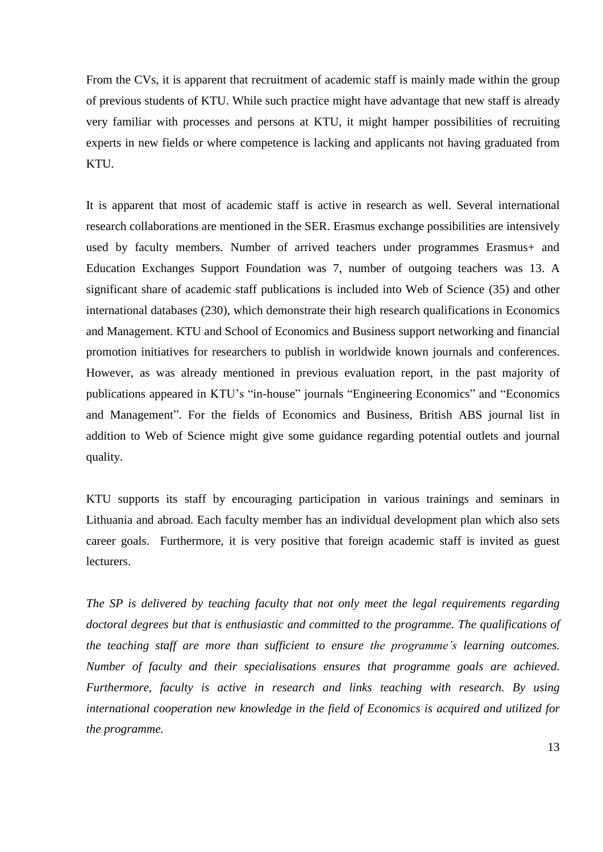From the CVs, it is apparent that recruitment of academic staff is mainly made within the group of previous students of KTU. While such practice might have advantage that new staff is already very familiar with processes and persons at KTU, it might hamper possibilities of recruiting experts in new fields or where competence is lacking and applicants not having graduated from KTU.

It is apparent that most of academic staff is active in research as well. Several international research collaborations are mentioned in the SER. Erasmus exchange possibilities are intensively used by faculty members. Number of arrived teachers under programmes Erasmus+ and Education Exchanges Support Foundation was 7, number of outgoing teachers was 13. A significant share of academic staff publications is included into Web of Science (35) and other international databases (230), which demonstrate their high research qualifications in Economics and Management. KTU and School of Economics and Business support networking and financial promotion initiatives for researchers to publish in worldwide known journals and conferences. However, as was already mentioned in previous evaluation report, in the past majority of publications appeared in KTU's "in-house" journals "Engineering Economics" and "Economics and Management". For the fields of Economics and Business, British ABS journal list in addition to Web of Science might give some guidance regarding potential outlets and journal quality.

KTU supports its staff by encouraging participation in various trainings and seminars in Lithuania and abroad. Each faculty member has an individual development plan which also sets career goals. Furthermore, it is very positive that foreign academic staff is invited as guest lecturers.

*The SP is delivered by teaching faculty that not only meet the legal requirements regarding doctoral degrees but that is enthusiastic and committed to the programme. The qualifications of the teaching staff are more than sufficient to ensure the programme's learning outcomes. Number of faculty and their specialisations ensures that programme goals are achieved. Furthermore, faculty is active in research and links teaching with research. By using international cooperation new knowledge in the field of Economics is acquired and utilized for the programme.*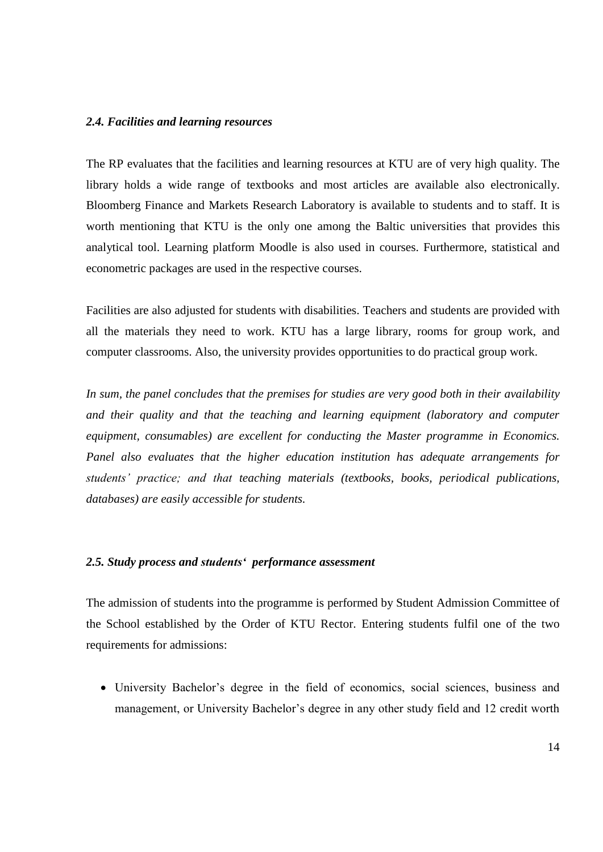#### <span id="page-13-0"></span>*2.4. Facilities and learning resources*

The RP evaluates that the facilities and learning resources at KTU are of very high quality. The library holds a wide range of textbooks and most articles are available also electronically. Bloomberg Finance and Markets Research Laboratory is available to students and to staff. It is worth mentioning that KTU is the only one among the Baltic universities that provides this analytical tool. Learning platform Moodle is also used in courses. Furthermore, statistical and econometric packages are used in the respective courses.

Facilities are also adjusted for students with disabilities. Teachers and students are provided with all the materials they need to work. KTU has a large library, rooms for group work, and computer classrooms. Also, the university provides opportunities to do practical group work.

*In sum, the panel concludes that the premises for studies are very good both in their availability and their quality and that the teaching and learning equipment (laboratory and computer equipment, consumables) are excellent for conducting the Master programme in Economics. Panel also evaluates that the higher education institution has adequate arrangements for students' practice; and that teaching materials (textbooks, books, periodical publications, databases) are easily accessible for students.*

#### <span id="page-13-1"></span>*2.5. Study process and students' performance assessment*

The admission of students into the programme is performed by Student Admission Committee of the School established by the Order of KTU Rector. Entering students fulfil one of the two requirements for admissions:

 University Bachelor's degree in the field of economics, social sciences, business and management, or University Bachelor's degree in any other study field and 12 credit worth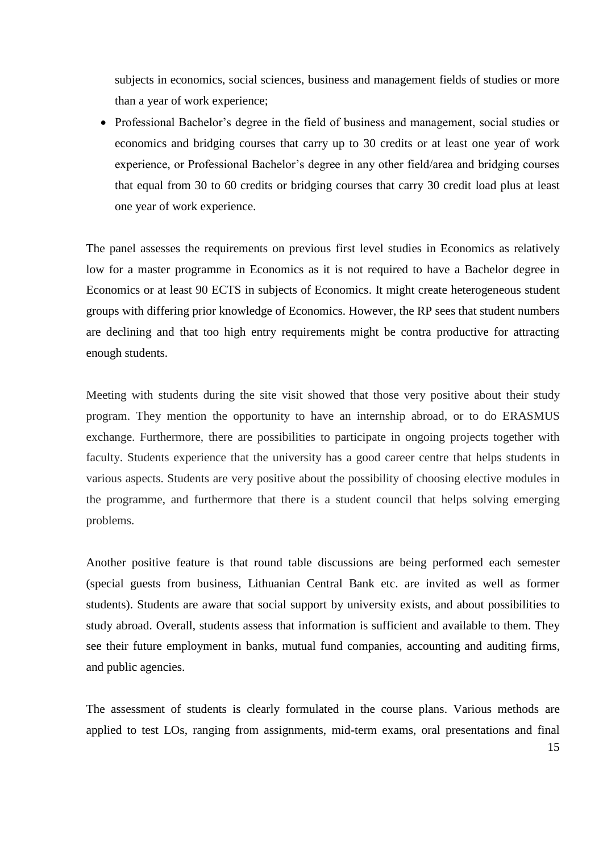subjects in economics, social sciences, business and management fields of studies or more than a year of work experience;

• Professional Bachelor's degree in the field of business and management, social studies or economics and bridging courses that carry up to 30 credits or at least one year of work experience, or Professional Bachelor's degree in any other field/area and bridging courses that equal from 30 to 60 credits or bridging courses that carry 30 credit load plus at least one year of work experience.

The panel assesses the requirements on previous first level studies in Economics as relatively low for a master programme in Economics as it is not required to have a Bachelor degree in Economics or at least 90 ECTS in subjects of Economics. It might create heterogeneous student groups with differing prior knowledge of Economics. However, the RP sees that student numbers are declining and that too high entry requirements might be contra productive for attracting enough students.

Meeting with students during the site visit showed that those very positive about their study program. They mention the opportunity to have an internship abroad, or to do ERASMUS exchange. Furthermore, there are possibilities to participate in ongoing projects together with faculty. Students experience that the university has a good career centre that helps students in various aspects. Students are very positive about the possibility of choosing elective modules in the programme, and furthermore that there is a student council that helps solving emerging problems.

Another positive feature is that round table discussions are being performed each semester (special guests from business, Lithuanian Central Bank etc. are invited as well as former students). Students are aware that social support by university exists, and about possibilities to study abroad. Overall, students assess that information is sufficient and available to them. They see their future employment in banks, mutual fund companies, accounting and auditing firms, and public agencies.

The assessment of students is clearly formulated in the course plans. Various methods are applied to test LOs, ranging from assignments, mid-term exams, oral presentations and final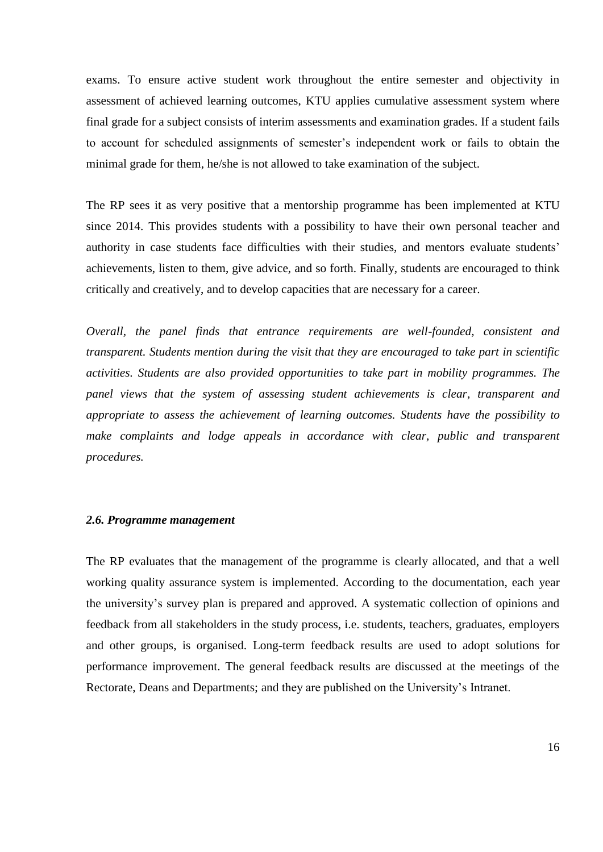exams. To ensure active student work throughout the entire semester and objectivity in assessment of achieved learning outcomes, KTU applies cumulative assessment system where final grade for a subject consists of interim assessments and examination grades. If a student fails to account for scheduled assignments of semester's independent work or fails to obtain the minimal grade for them, he/she is not allowed to take examination of the subject.

The RP sees it as very positive that a mentorship programme has been implemented at KTU since 2014. This provides students with a possibility to have their own personal teacher and authority in case students face difficulties with their studies, and mentors evaluate students' achievements, listen to them, give advice, and so forth. Finally, students are encouraged to think critically and creatively, and to develop capacities that are necessary for a career.

*Overall, the panel finds that entrance requirements are well-founded, consistent and transparent. Students mention during the visit that they are encouraged to take part in scientific activities. Students are also provided opportunities to take part in mobility programmes. The panel views that the system of assessing student achievements is clear, transparent and appropriate to assess the achievement of learning outcomes. Students have the possibility to*  make complaints and lodge appeals in accordance with clear, public and transparent *procedures.*

#### <span id="page-15-0"></span>*2.6. Programme management*

The RP evaluates that the management of the programme is clearly allocated, and that a well working quality assurance system is implemented. According to the documentation, each year the university's survey plan is prepared and approved. A systematic collection of opinions and feedback from all stakeholders in the study process, i.e. students, teachers, graduates, employers and other groups, is organised. Long-term feedback results are used to adopt solutions for performance improvement. The general feedback results are discussed at the meetings of the Rectorate, Deans and Departments; and they are published on the University's Intranet.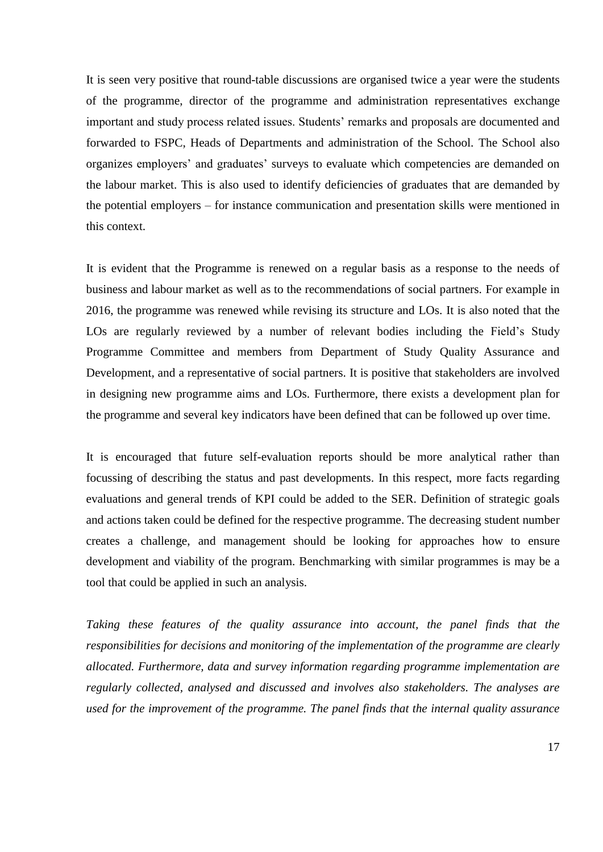It is seen very positive that round-table discussions are organised twice a year were the students of the programme, director of the programme and administration representatives exchange important and study process related issues. Students' remarks and proposals are documented and forwarded to FSPC, Heads of Departments and administration of the School. The School also organizes employers' and graduates' surveys to evaluate which competencies are demanded on the labour market. This is also used to identify deficiencies of graduates that are demanded by the potential employers – for instance communication and presentation skills were mentioned in this context.

It is evident that the Programme is renewed on a regular basis as a response to the needs of business and labour market as well as to the recommendations of social partners. For example in 2016, the programme was renewed while revising its structure and LOs. It is also noted that the LOs are regularly reviewed by a number of relevant bodies including the Field's Study Programme Committee and members from Department of Study Quality Assurance and Development, and a representative of social partners. It is positive that stakeholders are involved in designing new programme aims and LOs. Furthermore, there exists a development plan for the programme and several key indicators have been defined that can be followed up over time.

It is encouraged that future self-evaluation reports should be more analytical rather than focussing of describing the status and past developments. In this respect, more facts regarding evaluations and general trends of KPI could be added to the SER. Definition of strategic goals and actions taken could be defined for the respective programme. The decreasing student number creates a challenge, and management should be looking for approaches how to ensure development and viability of the program. Benchmarking with similar programmes is may be a tool that could be applied in such an analysis.

*Taking these features of the quality assurance into account, the panel finds that the responsibilities for decisions and monitoring of the implementation of the programme are clearly allocated. Furthermore, data and survey information regarding programme implementation are regularly collected, analysed and discussed and involves also stakeholders. The analyses are used for the improvement of the programme. The panel finds that the internal quality assurance*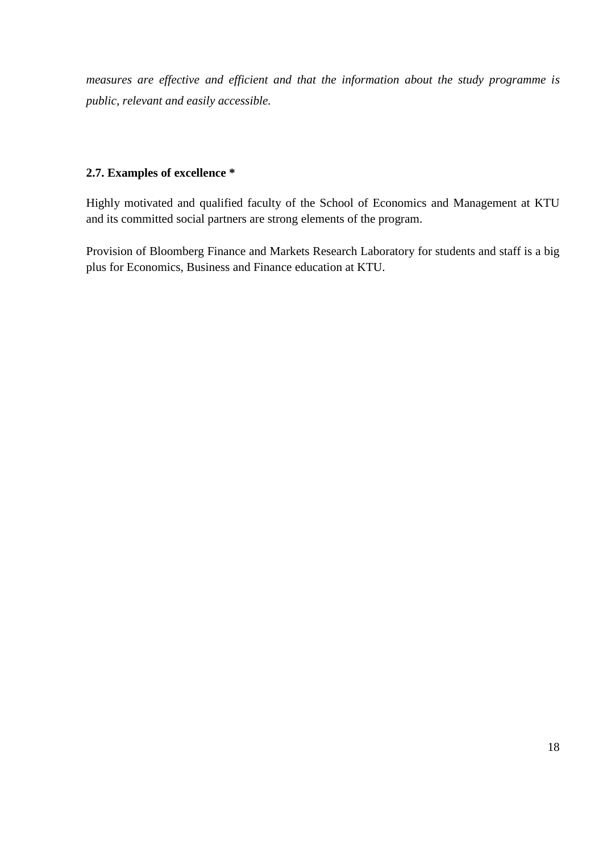*measures are effective and efficient and that the information about the study programme is public, relevant and easily accessible.*

# <span id="page-17-0"></span>**2.7. Examples of excellence \***

Highly motivated and qualified faculty of the School of Economics and Management at KTU and its committed social partners are strong elements of the program.

Provision of Bloomberg Finance and Markets Research Laboratory for students and staff is a big plus for Economics, Business and Finance education at KTU.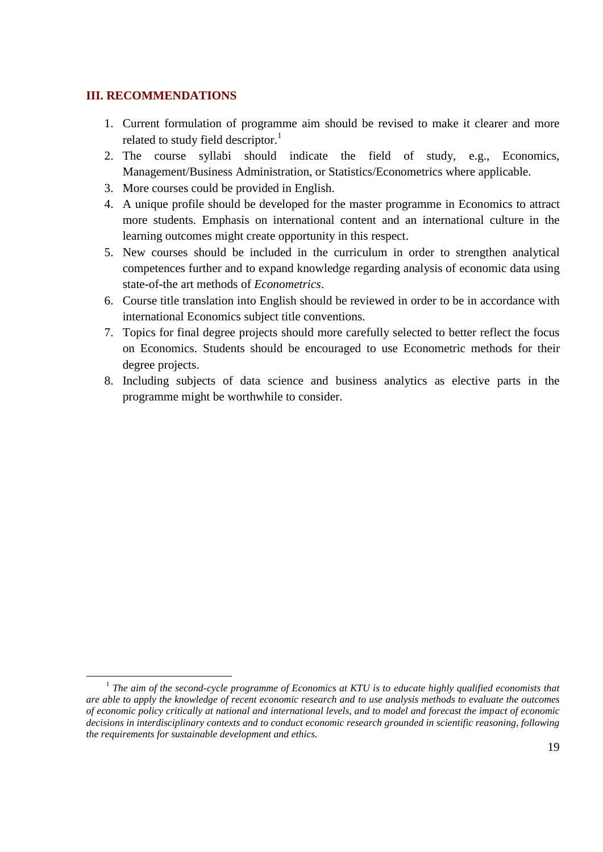## <span id="page-18-0"></span>**III. RECOMMENDATIONS**

1

- 1. Current formulation of programme aim should be revised to make it clearer and more related to study field descriptor.<sup>1</sup>
- 2. The course syllabi should indicate the field of study, e.g., Economics, Management/Business Administration, or Statistics/Econometrics where applicable.
- 3. More courses could be provided in English.
- 4. A unique profile should be developed for the master programme in Economics to attract more students. Emphasis on international content and an international culture in the learning outcomes might create opportunity in this respect.
- 5. New courses should be included in the curriculum in order to strengthen analytical competences further and to expand knowledge regarding analysis of economic data using state-of-the art methods of *Econometrics*.
- 6. Course title translation into English should be reviewed in order to be in accordance with international Economics subject title conventions.
- 7. Topics for final degree projects should more carefully selected to better reflect the focus on Economics. Students should be encouraged to use Econometric methods for their degree projects.
- 8. Including subjects of data science and business analytics as elective parts in the programme might be worthwhile to consider.

<sup>&</sup>lt;sup>1</sup> The aim of the second-cycle programme of Economics at KTU is to educate highly qualified economists that *are able to apply the knowledge of recent economic research and to use analysis methods to evaluate the outcomes of economic policy critically at national and international levels, and to model and forecast the impact of economic decisions in interdisciplinary contexts and to conduct economic research grounded in scientific reasoning, following the requirements for sustainable development and ethics.*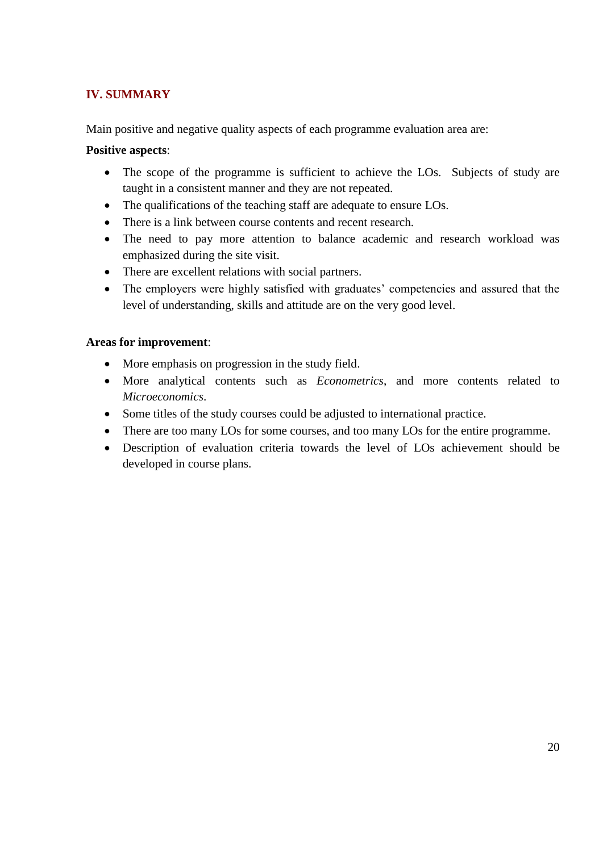# <span id="page-19-0"></span>**IV. SUMMARY**

Main positive and negative quality aspects of each programme evaluation area are:

## **Positive aspects**:

- The scope of the programme is sufficient to achieve the LOs. Subjects of study are taught in a consistent manner and they are not repeated.
- The qualifications of the teaching staff are adequate to ensure LOs.
- There is a link between course contents and recent research.
- The need to pay more attention to balance academic and research workload was emphasized during the site visit.
- There are excellent relations with social partners.
- The employers were highly satisfied with graduates' competencies and assured that the level of understanding, skills and attitude are on the very good level.

## **Areas for improvement**:

- More emphasis on progression in the study field.
- More analytical contents such as *Econometrics*, and more contents related to *Microeconomics*.
- Some titles of the study courses could be adjusted to international practice.
- There are too many LOs for some courses, and too many LOs for the entire programme.
- Description of evaluation criteria towards the level of LOs achievement should be developed in course plans.